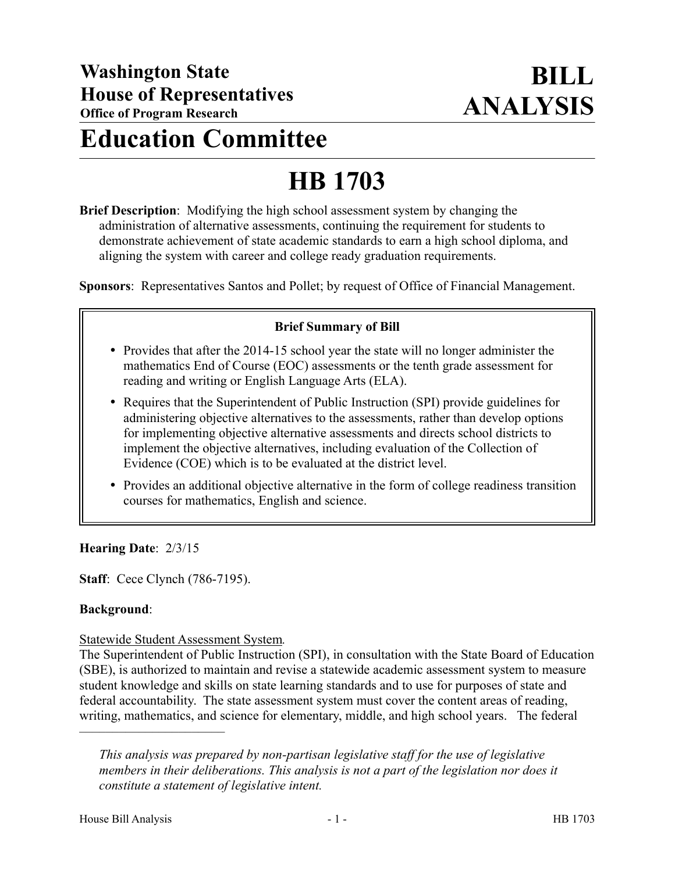# **Education Committee**

# **HB 1703**

**Brief Description**: Modifying the high school assessment system by changing the administration of alternative assessments, continuing the requirement for students to demonstrate achievement of state academic standards to earn a high school diploma, and aligning the system with career and college ready graduation requirements.

**Sponsors**: Representatives Santos and Pollet; by request of Office of Financial Management.

#### **Brief Summary of Bill**

- Provides that after the 2014-15 school year the state will no longer administer the mathematics End of Course (EOC) assessments or the tenth grade assessment for reading and writing or English Language Arts (ELA).
- Requires that the Superintendent of Public Instruction (SPI) provide guidelines for administering objective alternatives to the assessments, rather than develop options for implementing objective alternative assessments and directs school districts to implement the objective alternatives, including evaluation of the Collection of Evidence (COE) which is to be evaluated at the district level.
- Provides an additional objective alternative in the form of college readiness transition courses for mathematics, English and science.

**Hearing Date**: 2/3/15

**Staff**: Cece Clynch (786-7195).

#### **Background**:

#### Statewide Student Assessment System*.*

The Superintendent of Public Instruction (SPI), in consultation with the State Board of Education (SBE), is authorized to maintain and revise a statewide academic assessment system to measure student knowledge and skills on state learning standards and to use for purposes of state and federal accountability. The state assessment system must cover the content areas of reading, writing, mathematics, and science for elementary, middle, and high school years. The federal

––––––––––––––––––––––

*This analysis was prepared by non-partisan legislative staff for the use of legislative members in their deliberations. This analysis is not a part of the legislation nor does it constitute a statement of legislative intent.*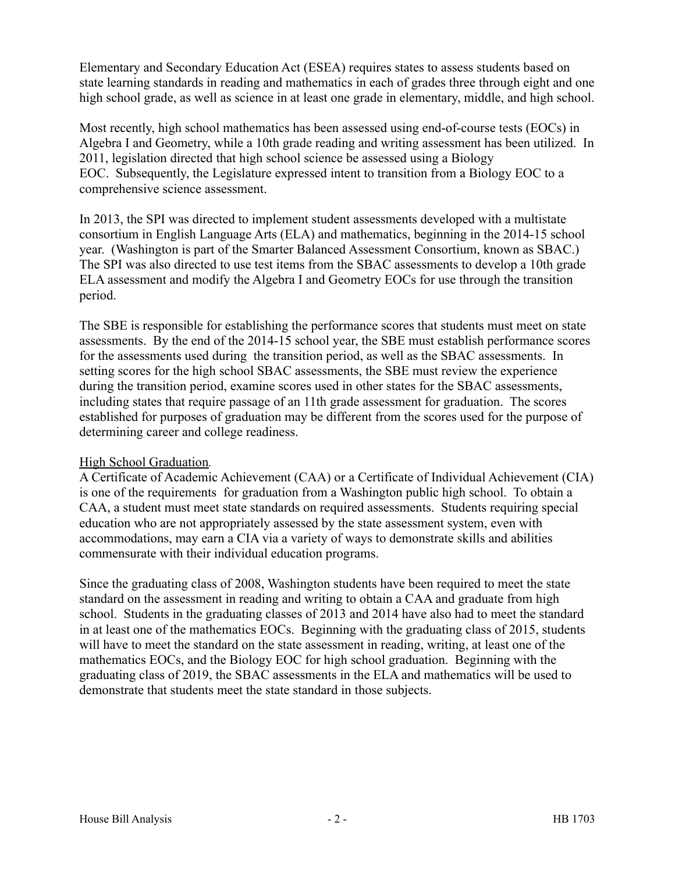Elementary and Secondary Education Act (ESEA) requires states to assess students based on state learning standards in reading and mathematics in each of grades three through eight and one high school grade, as well as science in at least one grade in elementary, middle, and high school.

Most recently, high school mathematics has been assessed using end-of-course tests (EOCs) in Algebra I and Geometry, while a 10th grade reading and writing assessment has been utilized. In 2011, legislation directed that high school science be assessed using a Biology EOC. Subsequently, the Legislature expressed intent to transition from a Biology EOC to a comprehensive science assessment.

In 2013, the SPI was directed to implement student assessments developed with a multistate consortium in English Language Arts (ELA) and mathematics, beginning in the 2014-15 school year. (Washington is part of the Smarter Balanced Assessment Consortium, known as SBAC.) The SPI was also directed to use test items from the SBAC assessments to develop a 10th grade ELA assessment and modify the Algebra I and Geometry EOCs for use through the transition period.

The SBE is responsible for establishing the performance scores that students must meet on state assessments. By the end of the 2014-15 school year, the SBE must establish performance scores for the assessments used during the transition period, as well as the SBAC assessments. In setting scores for the high school SBAC assessments, the SBE must review the experience during the transition period, examine scores used in other states for the SBAC assessments, including states that require passage of an 11th grade assessment for graduation. The scores established for purposes of graduation may be different from the scores used for the purpose of determining career and college readiness.

## High School Graduation*.*

A Certificate of Academic Achievement (CAA) or a Certificate of Individual Achievement (CIA) is one of the requirements for graduation from a Washington public high school. To obtain a CAA, a student must meet state standards on required assessments. Students requiring special education who are not appropriately assessed by the state assessment system, even with accommodations, may earn a CIA via a variety of ways to demonstrate skills and abilities commensurate with their individual education programs.

Since the graduating class of 2008, Washington students have been required to meet the state standard on the assessment in reading and writing to obtain a CAA and graduate from high school. Students in the graduating classes of 2013 and 2014 have also had to meet the standard in at least one of the mathematics EOCs. Beginning with the graduating class of 2015, students will have to meet the standard on the state assessment in reading, writing, at least one of the mathematics EOCs, and the Biology EOC for high school graduation. Beginning with the graduating class of 2019, the SBAC assessments in the ELA and mathematics will be used to demonstrate that students meet the state standard in those subjects.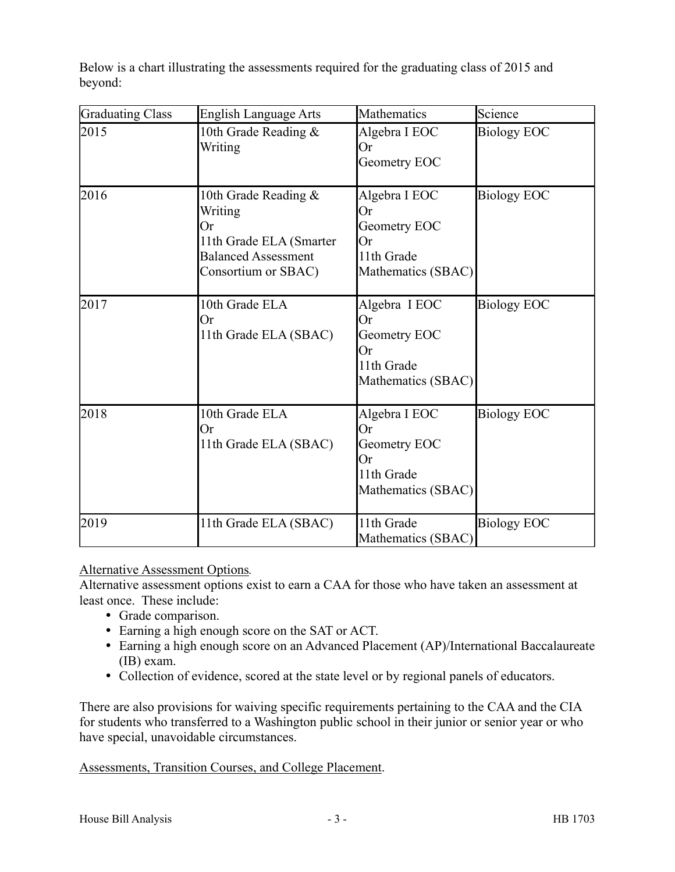Below is a chart illustrating the assessments required for the graduating class of 2015 and beyond:

| <b>Graduating Class</b> | <b>English Language Arts</b>                                                                                                    | <b>Mathematics</b>                                                            | Science            |
|-------------------------|---------------------------------------------------------------------------------------------------------------------------------|-------------------------------------------------------------------------------|--------------------|
| 2015                    | 10th Grade Reading &<br>Writing                                                                                                 | Algebra I EOC<br>Or<br>Geometry EOC                                           | <b>Biology EOC</b> |
| 2016                    | 10th Grade Reading $\&$<br>Writing<br><b>Or</b><br>11th Grade ELA (Smarter<br><b>Balanced Assessment</b><br>Consortium or SBAC) | Algebra I EOC<br>Or<br>Geometry EOC<br>Or<br>11th Grade<br>Mathematics (SBAC) | <b>Biology EOC</b> |
| 2017                    | 10th Grade ELA<br><b>Or</b><br>11th Grade ELA (SBAC)                                                                            | Algebra I EOC<br>Or<br>Geometry EOC<br>Or<br>11th Grade<br>Mathematics (SBAC) | <b>Biology EOC</b> |
| 2018                    | 10th Grade ELA<br>Or<br>11th Grade ELA (SBAC)                                                                                   | Algebra I EOC<br>Or<br>Geometry EOC<br>Or<br>11th Grade<br>Mathematics (SBAC) | <b>Biology EOC</b> |
| 2019                    | 11th Grade ELA (SBAC)                                                                                                           | 11th Grade<br>Mathematics (SBAC)                                              | <b>Biology EOC</b> |

## Alternative Assessment Options*.*

Alternative assessment options exist to earn a CAA for those who have taken an assessment at least once. These include:

- Grade comparison.
- Earning a high enough score on the SAT or ACT.
- Earning a high enough score on an Advanced Placement (AP)/International Baccalaureate (IB) exam.
- Collection of evidence, scored at the state level or by regional panels of educators.

There are also provisions for waiving specific requirements pertaining to the CAA and the CIA for students who transferred to a Washington public school in their junior or senior year or who have special, unavoidable circumstances.

#### Assessments, Transition Courses, and College Placement.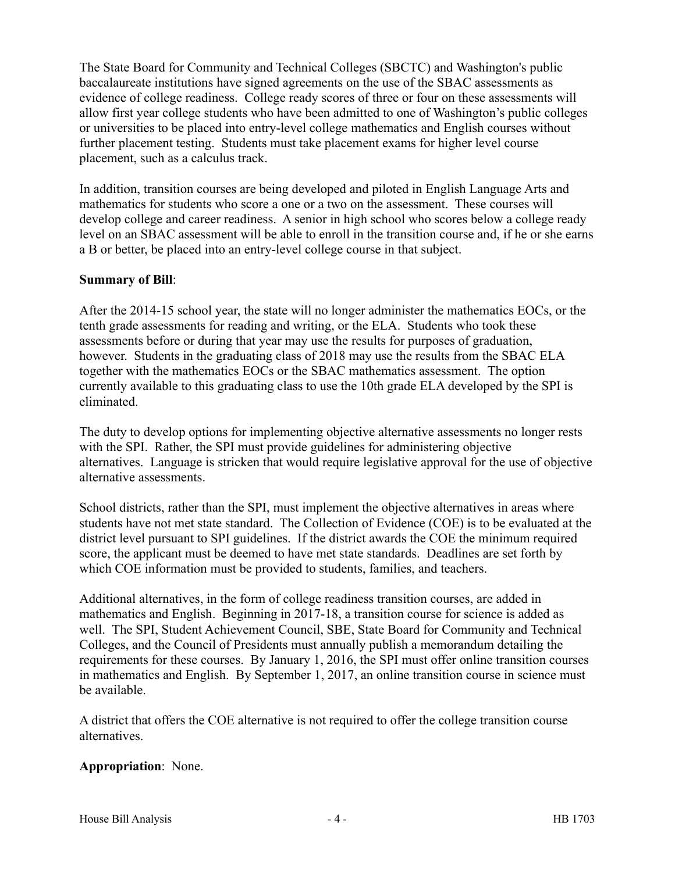The State Board for Community and Technical Colleges (SBCTC) and Washington's public baccalaureate institutions have signed agreements on the use of the SBAC assessments as evidence of college readiness. College ready scores of three or four on these assessments will allow first year college students who have been admitted to one of Washington's public colleges or universities to be placed into entry-level college mathematics and English courses without further placement testing. Students must take placement exams for higher level course placement, such as a calculus track.

In addition, transition courses are being developed and piloted in English Language Arts and mathematics for students who score a one or a two on the assessment. These courses will develop college and career readiness. A senior in high school who scores below a college ready level on an SBAC assessment will be able to enroll in the transition course and, if he or she earns a B or better, be placed into an entry-level college course in that subject.

## **Summary of Bill**:

After the 2014-15 school year, the state will no longer administer the mathematics EOCs, or the tenth grade assessments for reading and writing, or the ELA. Students who took these assessments before or during that year may use the results for purposes of graduation, however. Students in the graduating class of 2018 may use the results from the SBAC ELA together with the mathematics EOCs or the SBAC mathematics assessment. The option currently available to this graduating class to use the 10th grade ELA developed by the SPI is eliminated.

The duty to develop options for implementing objective alternative assessments no longer rests with the SPI. Rather, the SPI must provide guidelines for administering objective alternatives. Language is stricken that would require legislative approval for the use of objective alternative assessments.

School districts, rather than the SPI, must implement the objective alternatives in areas where students have not met state standard. The Collection of Evidence (COE) is to be evaluated at the district level pursuant to SPI guidelines. If the district awards the COE the minimum required score, the applicant must be deemed to have met state standards. Deadlines are set forth by which COE information must be provided to students, families, and teachers.

Additional alternatives, in the form of college readiness transition courses, are added in mathematics and English. Beginning in 2017-18, a transition course for science is added as well. The SPI, Student Achievement Council, SBE, State Board for Community and Technical Colleges, and the Council of Presidents must annually publish a memorandum detailing the requirements for these courses. By January 1, 2016, the SPI must offer online transition courses in mathematics and English. By September 1, 2017, an online transition course in science must be available.

A district that offers the COE alternative is not required to offer the college transition course alternatives.

## **Appropriation**: None.